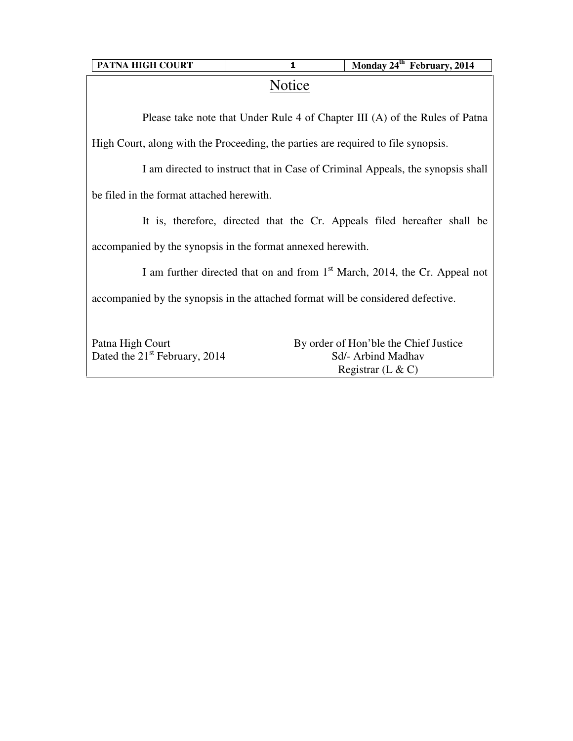| <b>PATNA HIGH COURT</b> |
|-------------------------|
|-------------------------|

## **Notice**

Please take note that Under Rule 4 of Chapter III (A) of the Rules of Patna

High Court, along with the Proceeding, the parties are required to file synopsis.

I am directed to instruct that in Case of Criminal Appeals, the synopsis shall

be filed in the format attached herewith.

It is, therefore, directed that the Cr. Appeals filed hereafter shall be

accompanied by the synopsis in the format annexed herewith.

I am further directed that on and from 1<sup>st</sup> March, 2014, the Cr. Appeal not accompanied by the synopsis in the attached format will be considered defective.

| Patna High Court                | By order of Hon'ble the Chief Justice |
|---------------------------------|---------------------------------------|
| Dated the $21st$ February, 2014 | Sd/- Arbind Madhav                    |
|                                 | Registrar $(L & C)$                   |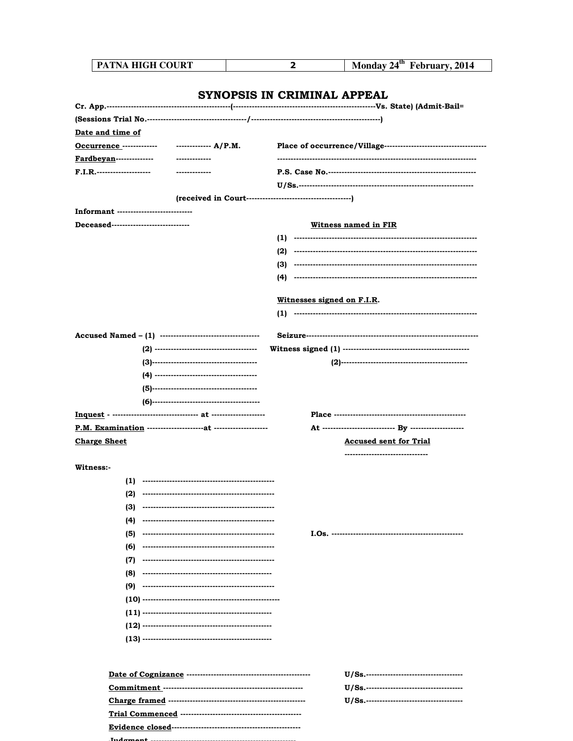| PATNA HIGH COURT                      |                 | 2                           | Monday 24 <sup>th</sup> February, 2014 |
|---------------------------------------|-----------------|-----------------------------|----------------------------------------|
|                                       |                 |                             |                                        |
|                                       |                 | SYNOPSIS IN CRIMINAL APPEAL |                                        |
|                                       |                 |                             |                                        |
| <u>Date and time of</u>               |                 |                             |                                        |
| Occurrence -------------              | $------ A/P.M.$ |                             |                                        |
| <u>Fardbeyan</u> --------------       |                 |                             |                                        |
| F.I.R.---------------------           |                 |                             |                                        |
|                                       |                 |                             |                                        |
|                                       |                 |                             |                                        |
| Informant --------------------------- |                 |                             |                                        |
| Deceased----------------------------- |                 |                             |                                        |
|                                       |                 |                             | <u>Witness named in FIR</u>            |
|                                       |                 |                             |                                        |
|                                       |                 |                             |                                        |
|                                       |                 |                             |                                        |
|                                       |                 | (4)                         |                                        |
|                                       |                 | Witnesses signed on F.I.R.  |                                        |
|                                       |                 |                             |                                        |
|                                       |                 |                             |                                        |
|                                       |                 |                             |                                        |
|                                       |                 |                             |                                        |
|                                       |                 |                             |                                        |
|                                       |                 |                             |                                        |
|                                       |                 |                             |                                        |
|                                       |                 |                             |                                        |
|                                       |                 |                             |                                        |
|                                       |                 |                             |                                        |
| <b>Charge Sheet</b>                   |                 |                             | <b>Accused sent for Trial</b>          |
|                                       |                 |                             | ----------------------------           |
| <b>Witness:-</b>                      |                 |                             |                                        |
| (1)                                   |                 |                             |                                        |
| (2)                                   |                 |                             |                                        |
| (3)                                   |                 |                             |                                        |
| (4)                                   |                 |                             |                                        |
| (5)                                   |                 |                             |                                        |
| (6)                                   |                 |                             |                                        |
| (7)                                   |                 |                             |                                        |
| (8)                                   |                 |                             |                                        |
| (9)                                   |                 |                             |                                        |
|                                       |                 |                             |                                        |
|                                       |                 |                             |                                        |
|                                       |                 |                             |                                        |
|                                       |                 |                             |                                        |
|                                       |                 |                             |                                        |
|                                       |                 |                             |                                        |
|                                       |                 |                             |                                        |
|                                       |                 |                             |                                        |
|                                       |                 |                             |                                        |
|                                       |                 |                             |                                        |

 $T_{\text{max}}$